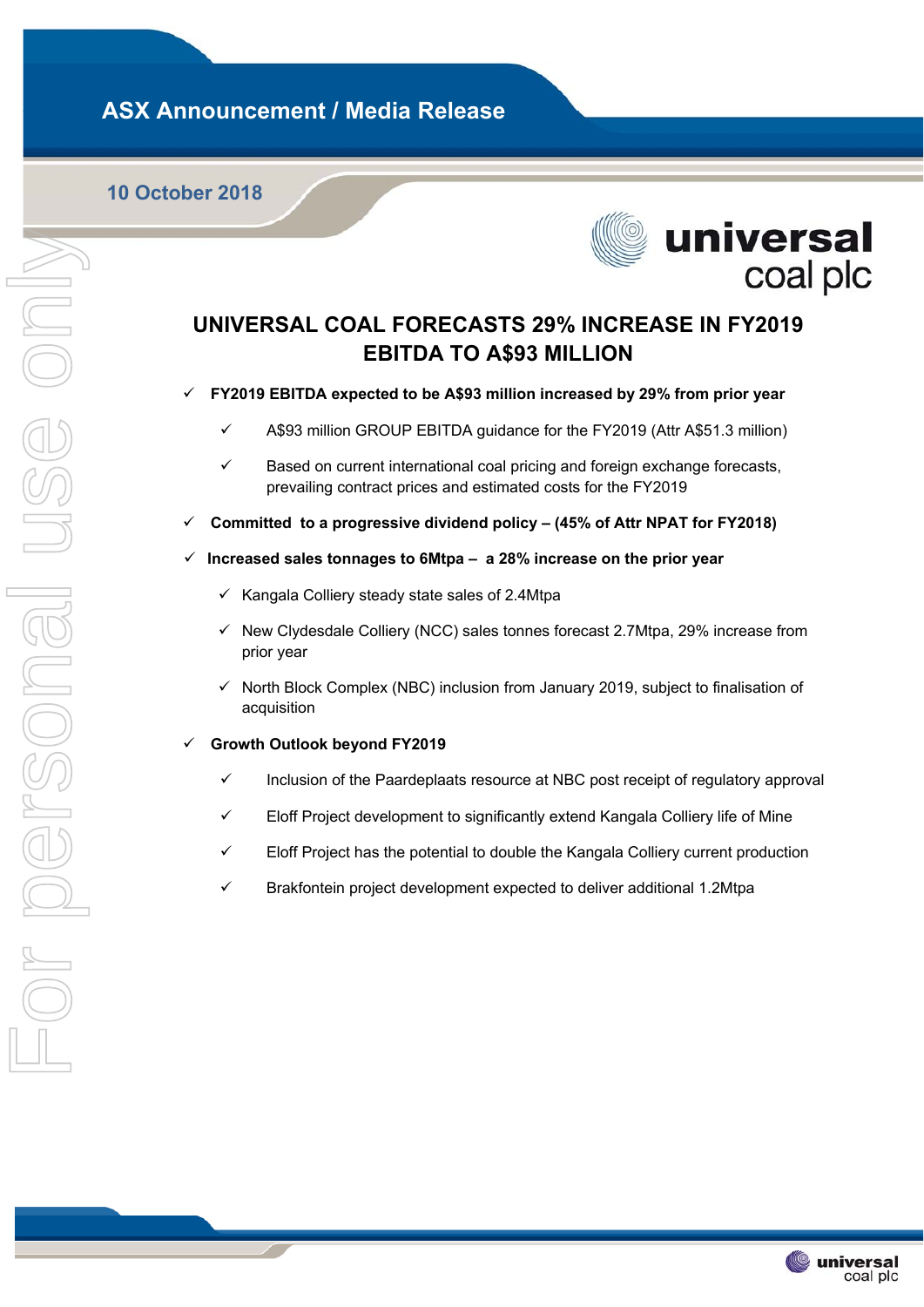# **ASX Announcement / Media Release**

## **10 October 2018**



## **UNIVERSAL COAL FORECASTS 29% INCREASE IN FY2019 EBITDA TO A\$93 MILLION**

**FY2019 EBITDA expected to be A\$93 million increased by 29% from prior year** 

- $\checkmark$  A\$93 million GROUP EBITDA guidance for the FY2019 (Attr A\$51.3 million)
- $\checkmark$  Based on current international coal pricing and foreign exchange forecasts, prevailing contract prices and estimated costs for the FY2019
- **Committed to a progressive dividend policy (45% of Attr NPAT for FY2018)**
- **Increased sales tonnages to 6Mtpa a 28% increase on the prior year** 
	- $\times$  Kangala Colliery steady state sales of 2.4Mtpa
	- New Clydesdale Colliery (NCC) sales tonnes forecast 2.7Mtpa, 29% increase from prior year
	- North Block Complex (NBC) inclusion from January 2019, subject to finalisation of acquisition
- **Growth Outlook beyond FY2019** 
	- $\checkmark$  Inclusion of the Paardeplaats resource at NBC post receipt of requlatory approval
	- $\checkmark$  Eloff Project development to significantly extend Kangala Colliery life of Mine
	- $\checkmark$  Eloff Project has the potential to double the Kangala Colliery current production
	- $\checkmark$  Brakfontein project development expected to deliver additional 1.2Mtpa

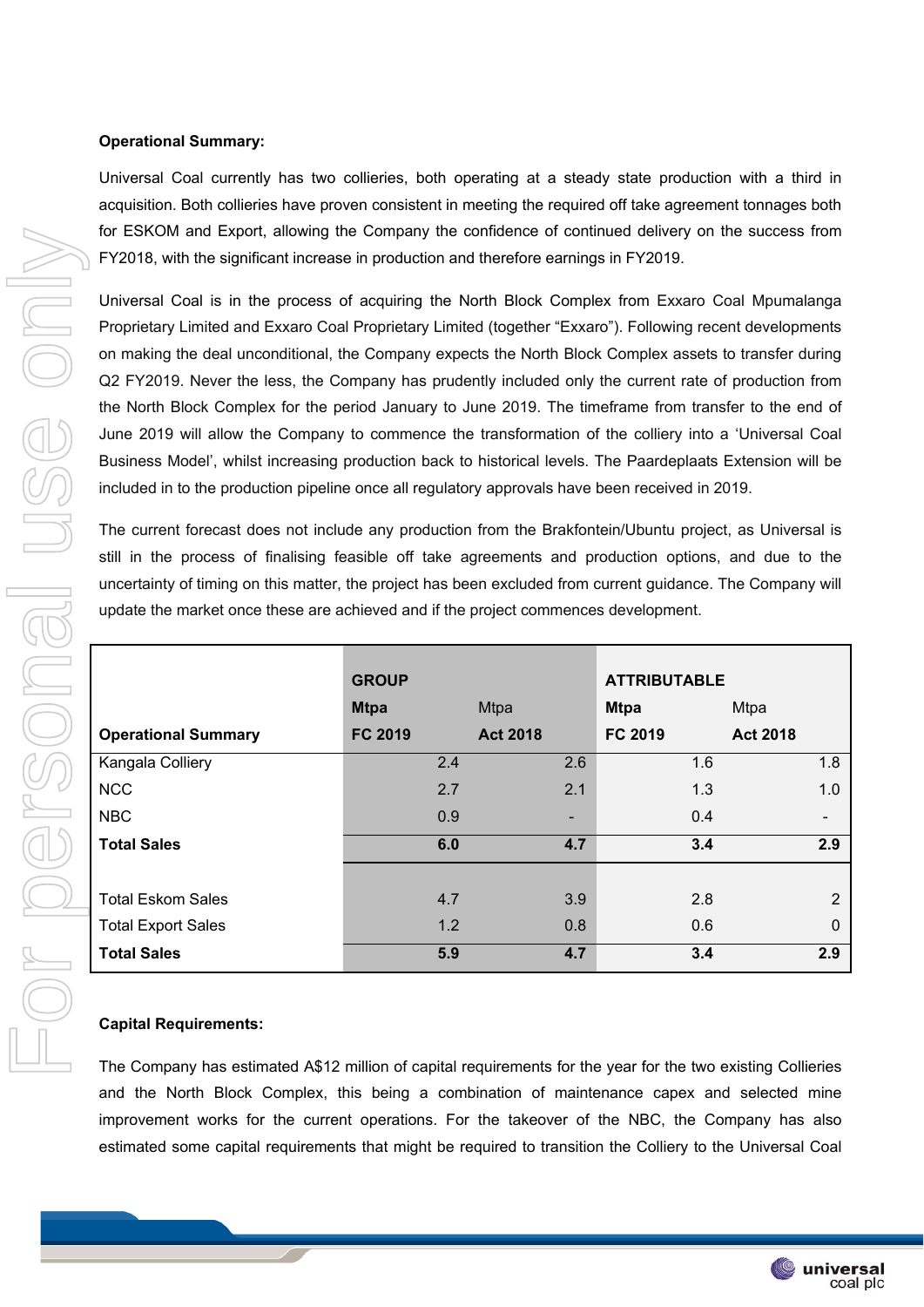## **Operational Summary:**

Universal Coal currently has two collieries, both operating at a steady state production with a third in acquisition. Both collieries have proven consistent in meeting the required off take agreement tonnages both for ESKOM and Export, allowing the Company the confidence of continued delivery on the success from FY2018, with the significant increase in production and therefore earnings in FY2019.

Universal Coal is in the process of acquiring the North Block Complex from Exxaro Coal Mpumalanga Proprietary Limited and Exxaro Coal Proprietary Limited (together "Exxaro"). Following recent developments on making the deal unconditional, the Company expects the North Block Complex assets to transfer during Q2 FY2019. Never the less, the Company has prudently included only the current rate of production from the North Block Complex for the period January to June 2019. The timeframe from transfer to the end of June 2019 will allow the Company to commence the transformation of the colliery into a 'Universal Coal Business Model', whilst increasing production back to historical levels. The Paardeplaats Extension will be included in to the production pipeline once all regulatory approvals have been received in 2019.

The current forecast does not include any production from the Brakfontein/Ubuntu project, as Universal is still in the process of finalising feasible off take agreements and production options, and due to the uncertainty of timing on this matter, the project has been excluded from current guidance. The Company will update the market once these are achieved and if the project commences development.

|                            | <b>GROUP</b>   |                 | <b>ATTRIBUTABLE</b> |                 |
|----------------------------|----------------|-----------------|---------------------|-----------------|
|                            | <b>Mtpa</b>    | <b>Mtpa</b>     | <b>Mtpa</b>         | Mtpa            |
| <b>Operational Summary</b> | <b>FC 2019</b> | <b>Act 2018</b> | <b>FC 2019</b>      | <b>Act 2018</b> |
| Kangala Colliery           | 2.4            | 2.6             | 1.6                 | 1.8             |
| <b>NCC</b>                 | 2.7            | 2.1             | 1.3                 | 1.0             |
| <b>NBC</b>                 | 0.9            |                 | 0.4                 |                 |
| <b>Total Sales</b>         | 6.0            | 4.7             | 3.4                 | 2.9             |
|                            |                |                 |                     |                 |
| <b>Total Eskom Sales</b>   | 4.7            | 3.9             | 2.8                 | $\overline{2}$  |
| <b>Total Export Sales</b>  | 1.2            | 0.8             | 0.6                 | 0               |
| <b>Total Sales</b>         | 5.9            | 4.7             | 3.4                 | 2.9             |

### **Capital Requirements:**

The Company has estimated A\$12 million of capital requirements for the year for the two existing Collieries and the North Block Complex, this being a combination of maintenance capex and selected mine improvement works for the current operations. For the takeover of the NBC, the Company has also estimated some capital requirements that might be required to transition the Colliery to the Universal Coal

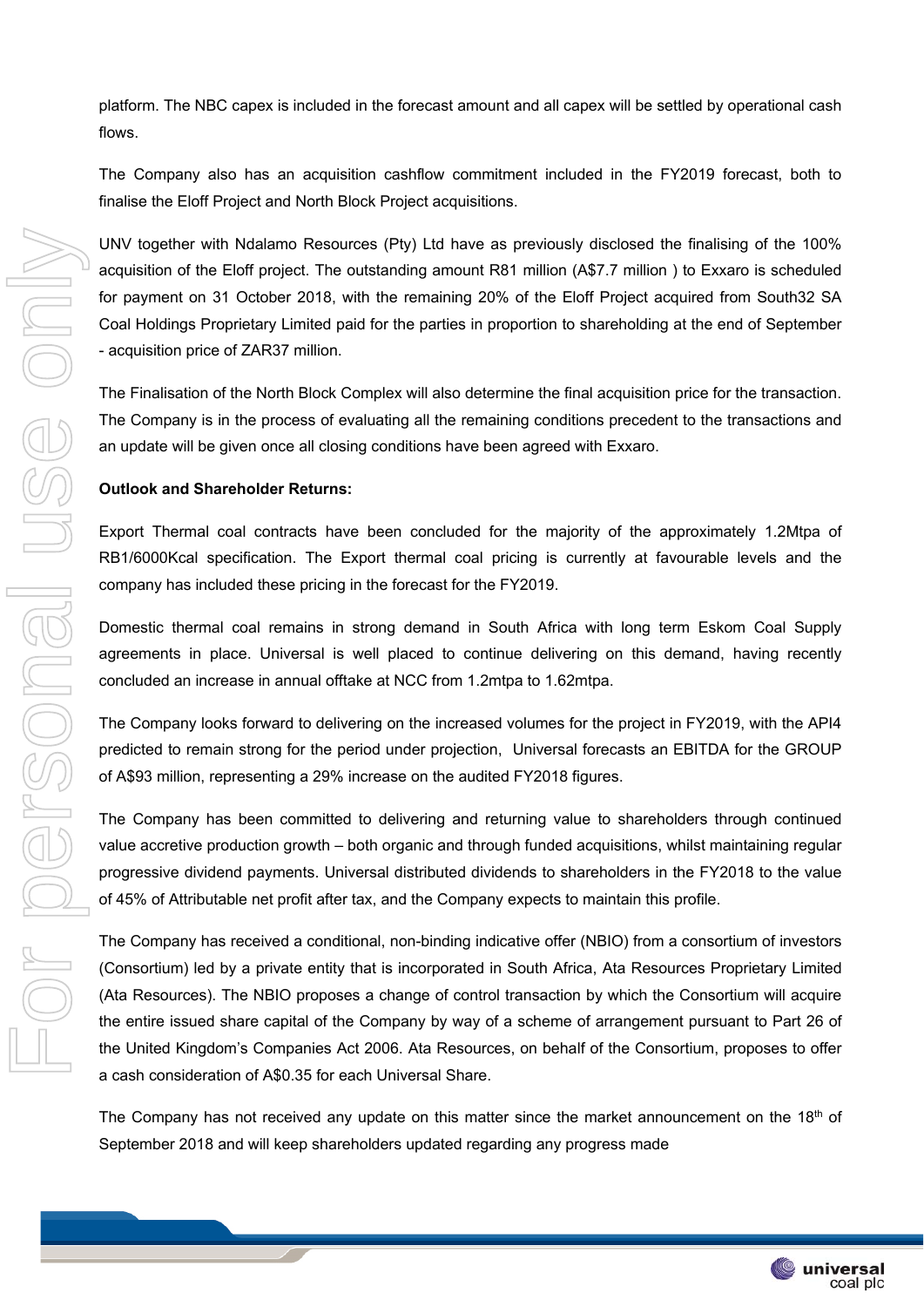platform. The NBC capex is included in the forecast amount and all capex will be settled by operational cash flows.

The Company also has an acquisition cashflow commitment included in the FY2019 forecast, both to finalise the Eloff Project and North Block Project acquisitions.

UNV together with Ndalamo Resources (Pty) Ltd have as previously disclosed the finalising of the 100% acquisition of the Eloff project. The outstanding amount R81 million (A\$7.7 million ) to Exxaro is scheduled for payment on 31 October 2018, with the remaining 20% of the Eloff Project acquired from South32 SA Coal Holdings Proprietary Limited paid for the parties in proportion to shareholding at the end of September - acquisition price of ZAR37 million.

The Finalisation of the North Block Complex will also determine the final acquisition price for the transaction. The Company is in the process of evaluating all the remaining conditions precedent to the transactions and an update will be given once all closing conditions have been agreed with Exxaro.

## **Outlook and Shareholder Returns:**

Export Thermal coal contracts have been concluded for the majority of the approximately 1.2Mtpa of RB1/6000Kcal specification. The Export thermal coal pricing is currently at favourable levels and the company has included these pricing in the forecast for the FY2019.

Domestic thermal coal remains in strong demand in South Africa with long term Eskom Coal Supply agreements in place. Universal is well placed to continue delivering on this demand, having recently concluded an increase in annual offtake at NCC from 1.2mtpa to 1.62mtpa.

The Company looks forward to delivering on the increased volumes for the project in FY2019, with the API4 predicted to remain strong for the period under projection, Universal forecasts an EBITDA for the GROUP of A\$93 million, representing a 29% increase on the audited FY2018 figures.

The Company has been committed to delivering and returning value to shareholders through continued value accretive production growth – both organic and through funded acquisitions, whilst maintaining regular progressive dividend payments. Universal distributed dividends to shareholders in the FY2018 to the value of 45% of Attributable net profit after tax, and the Company expects to maintain this profile.

The Company has received a conditional, non-binding indicative offer (NBIO) from a consortium of investors (Consortium) led by a private entity that is incorporated in South Africa, Ata Resources Proprietary Limited (Ata Resources). The NBIO proposes a change of control transaction by which the Consortium will acquire the entire issued share capital of the Company by way of a scheme of arrangement pursuant to Part 26 of the United Kingdom's Companies Act 2006. Ata Resources, on behalf of the Consortium, proposes to offer a cash consideration of A\$0.35 for each Universal Share.

The Company has not received any update on this matter since the market announcement on the  $18<sup>th</sup>$  of September 2018 and will keep shareholders updated regarding any progress made

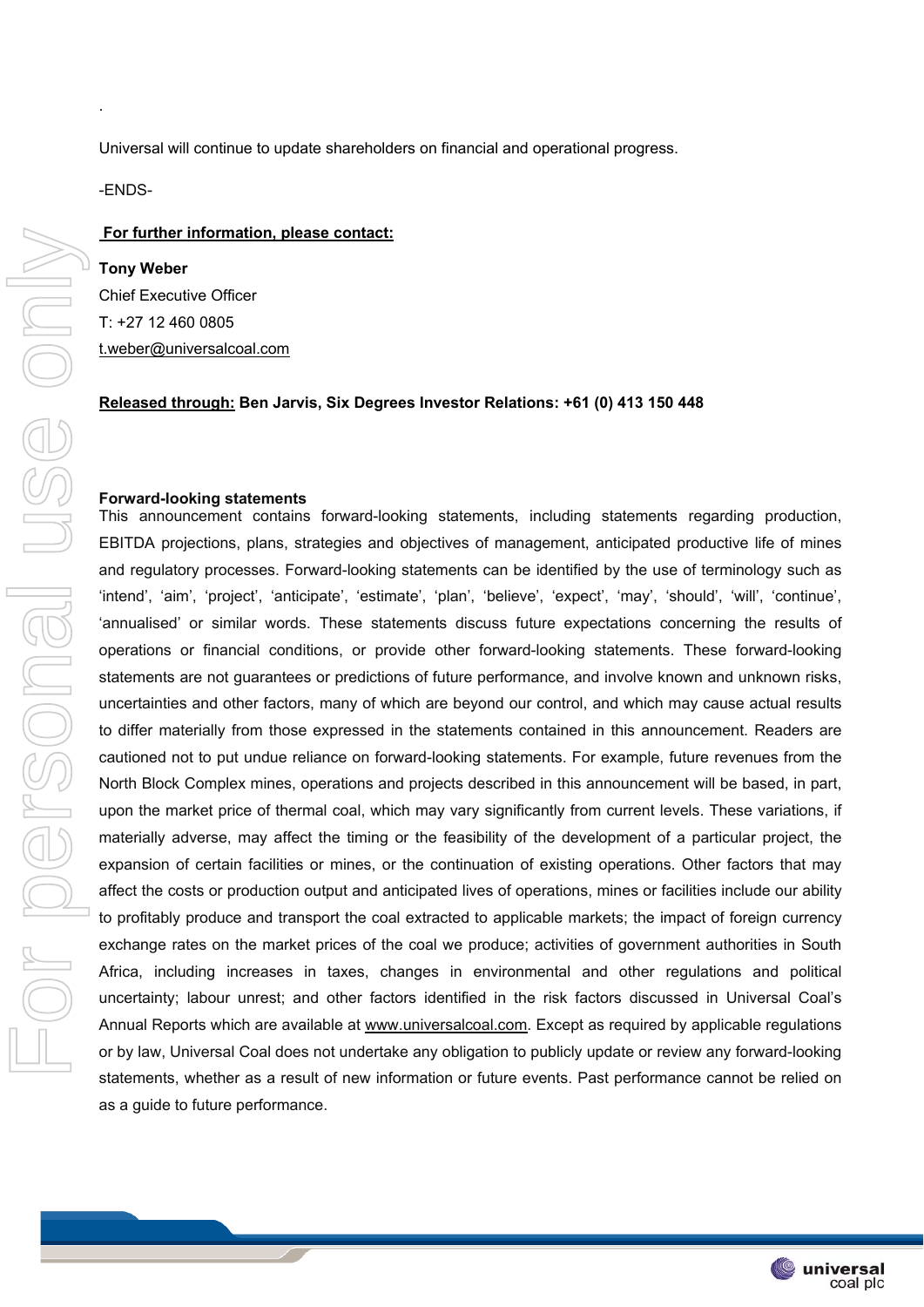Universal will continue to update shareholders on financial and operational progress.

-ENDS-

.

#### **For further information, please contact:**

**Tony Weber**  Chief Executive Officer T: +27 12 460 0805 t.weber@universalcoal.com

### **Released through: Ben Jarvis, Six Degrees Investor Relations: +61 (0) 413 150 448**

#### **Forward-looking statements**

This announcement contains forward-looking statements, including statements regarding production, EBITDA projections, plans, strategies and objectives of management, anticipated productive life of mines and regulatory processes. Forward-looking statements can be identified by the use of terminology such as 'intend', 'aim', 'project', 'anticipate', 'estimate', 'plan', 'believe', 'expect', 'may', 'should', 'will', 'continue', 'annualised' or similar words. These statements discuss future expectations concerning the results of operations or financial conditions, or provide other forward-looking statements. These forward-looking statements are not guarantees or predictions of future performance, and involve known and unknown risks, uncertainties and other factors, many of which are beyond our control, and which may cause actual results to differ materially from those expressed in the statements contained in this announcement. Readers are cautioned not to put undue reliance on forward-looking statements. For example, future revenues from the North Block Complex mines, operations and projects described in this announcement will be based, in part, upon the market price of thermal coal, which may vary significantly from current levels. These variations, if materially adverse, may affect the timing or the feasibility of the development of a particular project, the expansion of certain facilities or mines, or the continuation of existing operations. Other factors that may affect the costs or production output and anticipated lives of operations, mines or facilities include our ability to profitably produce and transport the coal extracted to applicable markets; the impact of foreign currency exchange rates on the market prices of the coal we produce; activities of government authorities in South Africa, including increases in taxes, changes in environmental and other regulations and political uncertainty; labour unrest; and other factors identified in the risk factors discussed in Universal Coal's Annual Reports which are available at www.universalcoal.com. Except as required by applicable regulations or by law, Universal Coal does not undertake any obligation to publicly update or review any forward-looking statements, whether as a result of new information or future events. Past performance cannot be relied on as a guide to future performance.